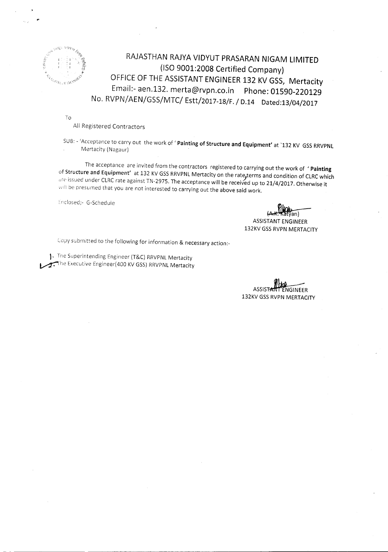

RAJASTHAN RAJYA VIDYUT PRASARAN NIGAM LIMITED (ISO 9001:2008 Certified Company) OFFICE OF THE ASSISTANT ENGINEER 132 KV GSS, Mertacity Email:-aen.132.merta@rvpn.co.in Phone: 01590-220129 No. RVPN/AEN/GSS/MTC/ Estt/2017-18/F. / D.14 Dated:13/04/2017

To

All Registered Contractors

SUB: - 'Acceptance to carry out the work of ' Painting of Structure and Equipment' at '132 KV GSS RRVPNL Mertacity (Nagaur)

The acceptance are invited from the contractors registered to carrying out the work of 'Painting of Structure and Equipment' at 132 KV GSS RRVPNL Mertacity on the rate<sub>st</sub>erms and condition of CLRC which are issued under CLRC rate against TN-2975. The acceptance will be received up to 21/4/2017. Otherwise it will be presumed that you are not interested to carrying out the above said work.

Enclosed;- G-Schedule

~ anl

ASSISTANT ENGINEER 132KV GSSRVPN MERTACITY

Copy submitted to the following for information & necessary action:-

1. The Superintending Engineer (T&C) RRVPNL Mertacity The Executive Engineer(400 KV GSS) RRVPNL Mertacity

**ASSIST-**GINFFR 132KV GSSRVPN MERTACITY